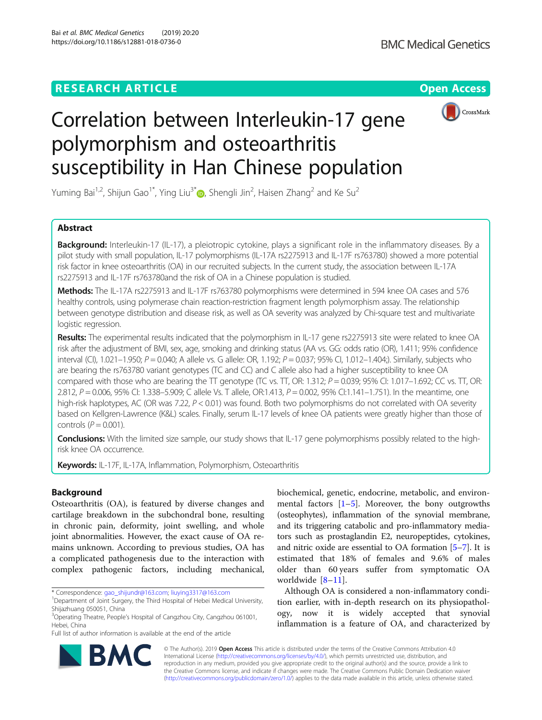

# Correlation between Interleukin-17 gene polymorphism and osteoarthritis susceptibility in Han Chinese population

Yuming Bai<sup>1,2</sup>, Shijun Gao<sup>1[\\*](http://orcid.org/0000-0002-0767-8506)</sup>, Ying Liu<sup>3\*</sup>. Shengli Jin<sup>2</sup>, Haisen Zhang<sup>2</sup> and Ke Su<sup>2</sup>

# Abstract

**Background:** Interleukin-17 (IL-17), a pleiotropic cytokine, plays a significant role in the inflammatory diseases. By a pilot study with small population, IL-17 polymorphisms (IL-17A rs2275913 and IL-17F rs763780) showed a more potential risk factor in knee osteoarthritis (OA) in our recruited subjects. In the current study, the association between IL-17A rs2275913 and IL-17F rs763780and the risk of OA in a Chinese population is studied.

Methods: The IL-17A rs2275913 and IL-17F rs763780 polymorphisms were determined in 594 knee OA cases and 576 healthy controls, using polymerase chain reaction-restriction fragment length polymorphism assay. The relationship between genotype distribution and disease risk, as well as OA severity was analyzed by Chi-square test and multivariate logistic regression.

Results: The experimental results indicated that the polymorphism in IL-17 gene rs2275913 site were related to knee OA risk after the adjustment of BMI, sex, age, smoking and drinking status (AA vs. GG: odds ratio (OR), 1.411; 95% confidence interval (CI), 1.021–1.950;  $P = 0.040$ ; A allele vs. G allele: OR, 1.192;  $P = 0.037$ ; 95% CI, 1.012–1.404;). Similarly, subjects who are bearing the rs763780 variant genotypes (TC and CC) and C allele also had a higher susceptibility to knee OA compared with those who are bearing the TT genotype (TC vs. TT, OR: 1.312;  $P = 0.039$ ; 95% CI: 1.017–1.692; CC vs. TT, OR: 2.812, P = 0.006, 95% CI: 1.338–5.909; C allele Vs. T allele, OR:1.413, P = 0.002, 95% CI:1.141–1.751). In the meantime, one high-risk haplotypes, AC (OR was 7.22, P < 0.01) was found. Both two polymorphisms do not correlated with OA severity based on Kellgren-Lawrence (K&L) scales. Finally, serum IL-17 levels of knee OA patients were greatly higher than those of controls  $(P = 0.001)$ .

Conclusions: With the limited size sample, our study shows that IL-17 gene polymorphisms possibly related to the highrisk knee OA occurrence.

Keywords: IL-17F, IL-17A, Inflammation, Polymorphism, Osteoarthritis

# Background

Osteoarthritis (OA), is featured by diverse changes and cartilage breakdown in the subchondral bone, resulting in chronic pain, deformity, joint swelling, and whole joint abnormalities. However, the exact cause of OA remains unknown. According to previous studies, OA has a complicated pathogenesis due to the interaction with complex pathogenic factors, including mechanical,

\* Correspondence: [gao\\_shijundr@163.com](mailto:gao_shijundr@163.com); [liuying3317@163.com](mailto:liuying3317@163.com) <sup>1</sup>

Full list of author information is available at the end of the article

biochemical, genetic, endocrine, metabolic, and environmental factors  $[1-5]$  $[1-5]$  $[1-5]$  $[1-5]$ . Moreover, the bony outgrowths (osteophytes), inflammation of the synovial membrane, and its triggering catabolic and pro-inflammatory mediators such as prostaglandin E2, neuropeptides, cytokines, and nitric oxide are essential to OA formation [[5](#page-5-0)–[7](#page-5-0)]. It is estimated that 18% of females and 9.6% of males older than 60 years suffer from symptomatic OA worldwide [\[8](#page-5-0)–[11](#page-5-0)].

Although OA is considered a non-inflammatory condition earlier, with in-depth research on its physiopathology, now it is widely accepted that synovial inflammation is a feature of OA, and characterized by



© The Author(s). 2019 Open Access This article is distributed under the terms of the Creative Commons Attribution 4.0 International License [\(http://creativecommons.org/licenses/by/4.0/](http://creativecommons.org/licenses/by/4.0/)), which permits unrestricted use, distribution, and reproduction in any medium, provided you give appropriate credit to the original author(s) and the source, provide a link to the Creative Commons license, and indicate if changes were made. The Creative Commons Public Domain Dedication waiver [\(http://creativecommons.org/publicdomain/zero/1.0/](http://creativecommons.org/publicdomain/zero/1.0/)) applies to the data made available in this article, unless otherwise stated.

<sup>&</sup>lt;sup>1</sup>Department of Joint Surgery, the Third Hospital of Hebei Medical University, Shijazhuang 050051, China

<sup>&</sup>lt;sup>3</sup>Operating Theatre, People's Hospital of Cangzhou City, Cangzhou 061001, Hebei, China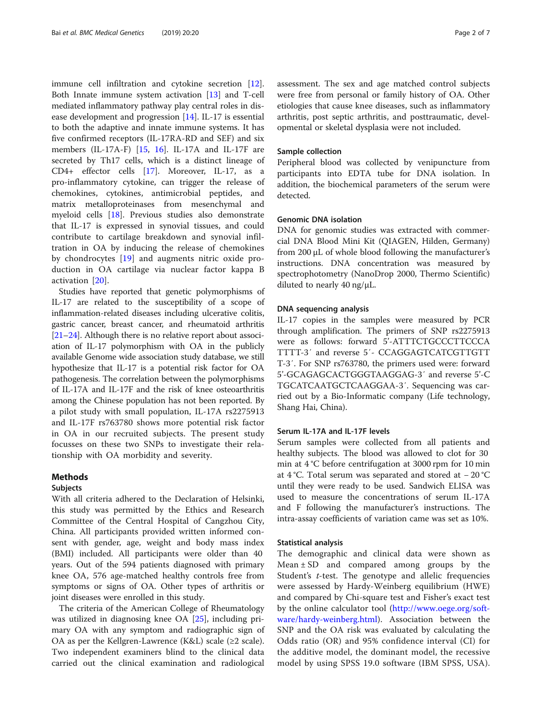immune cell infiltration and cytokine secretion [\[12](#page-5-0)]. Both Innate immune system activation [[13\]](#page-5-0) and T-cell mediated inflammatory pathway play central roles in disease development and progression [[14\]](#page-5-0). IL-17 is essential to both the adaptive and innate immune systems. It has five confirmed receptors (IL-17RA-RD and SEF) and six members (IL-17A-F) [[15](#page-6-0), [16\]](#page-6-0). IL-17A and IL-17F are secreted by Th17 cells, which is a distinct lineage of CD4+ effector cells [\[17](#page-6-0)]. Moreover, IL-17, as a pro-inflammatory cytokine, can trigger the release of chemokines, cytokines, antimicrobial peptides, and matrix metalloproteinases from mesenchymal and myeloid cells [[18\]](#page-6-0). Previous studies also demonstrate that IL-17 is expressed in synovial tissues, and could contribute to cartilage breakdown and synovial infiltration in OA by inducing the release of chemokines by chondrocytes [[19\]](#page-6-0) and augments nitric oxide production in OA cartilage via nuclear factor kappa B activation [\[20](#page-6-0)].

Studies have reported that genetic polymorphisms of IL-17 are related to the susceptibility of a scope of inflammation-related diseases including ulcerative colitis, gastric cancer, breast cancer, and rheumatoid arthritis [[21](#page-6-0)–[24\]](#page-6-0). Although there is no relative report about association of IL-17 polymorphism with OA in the publicly available Genome wide association study database, we still hypothesize that IL-17 is a potential risk factor for OA pathogenesis. The correlation between the polymorphisms of IL-17A and IL-17F and the risk of knee osteoarthritis among the Chinese population has not been reported. By a pilot study with small population, IL-17A rs2275913 and IL-17F rs763780 shows more potential risk factor in OA in our recruited subjects. The present study focusses on these two SNPs to investigate their relationship with OA morbidity and severity.

## Methods

## Subjects

With all criteria adhered to the Declaration of Helsinki, this study was permitted by the Ethics and Research Committee of the Central Hospital of Cangzhou City, China. All participants provided written informed consent with gender, age, weight and body mass index (BMI) included. All participants were older than 40 years. Out of the 594 patients diagnosed with primary knee OA, 576 age-matched healthy controls free from symptoms or signs of OA. Other types of arthritis or joint diseases were enrolled in this study.

The criteria of the American College of Rheumatology was utilized in diagnosing knee OA [\[25](#page-6-0)], including primary OA with any symptom and radiographic sign of OA as per the Kellgren-Lawrence (K&L) scale ( $\geq 2$  scale). Two independent examiners blind to the clinical data carried out the clinical examination and radiological assessment. The sex and age matched control subjects were free from personal or family history of OA. Other etiologies that cause knee diseases, such as inflammatory arthritis, post septic arthritis, and posttraumatic, developmental or skeletal dysplasia were not included.

# Sample collection

Peripheral blood was collected by venipuncture from participants into EDTA tube for DNA isolation. In addition, the biochemical parameters of the serum were detected.

# Genomic DNA isolation

DNA for genomic studies was extracted with commercial DNA Blood Mini Kit (QIAGEN, Hilden, Germany) from 200 μL of whole blood following the manufacturer's instructions. DNA concentration was measured by spectrophotometry (NanoDrop 2000, Thermo Scientific) diluted to nearly 40 ng/μL.

# DNA sequencing analysis

IL-17 copies in the samples were measured by PCR through amplification. The primers of SNP rs2275913 were as follows: forward 5'-ATTTCTGCCCTTCCCA TTTT-3′ and reverse 5′- CCAGGAGTCATCGTTGTT T-3′. For SNP rs763780, the primers used were: forward 5'-GCAGAGCACTGGGTAAGGAG-3′ and reverse 5'-C TGCATCAATGCTCAAGGAA-3′. Sequencing was carried out by a Bio-Informatic company (Life technology, Shang Hai, China).

## Serum IL-17A and IL-17F levels

Serum samples were collected from all patients and healthy subjects. The blood was allowed to clot for 30 min at 4 °C before centrifugation at 3000 rpm for 10 min at 4 °C. Total serum was separated and stored at − 20 °C until they were ready to be used. Sandwich ELISA was used to measure the concentrations of serum IL-17A and F following the manufacturer's instructions. The intra-assay coefficients of variation came was set as 10%.

# Statistical analysis

The demographic and clinical data were shown as Mean  $\pm$  SD and compared among groups by the Student's *t*-test. The genotype and allelic frequencies were assessed by Hardy-Weinberg equilibrium (HWE) and compared by Chi-square test and Fisher's exact test by the online calculator tool [\(http://www.oege.org/soft](http://www.oege.org/software/hardy-weinberg.html)[ware/hardy-weinberg.html\)](http://www.oege.org/software/hardy-weinberg.html). Association between the SNP and the OA risk was evaluated by calculating the Odds ratio (OR) and 95% confidence interval (CI) for the additive model, the dominant model, the recessive model by using SPSS 19.0 software (IBM SPSS, USA).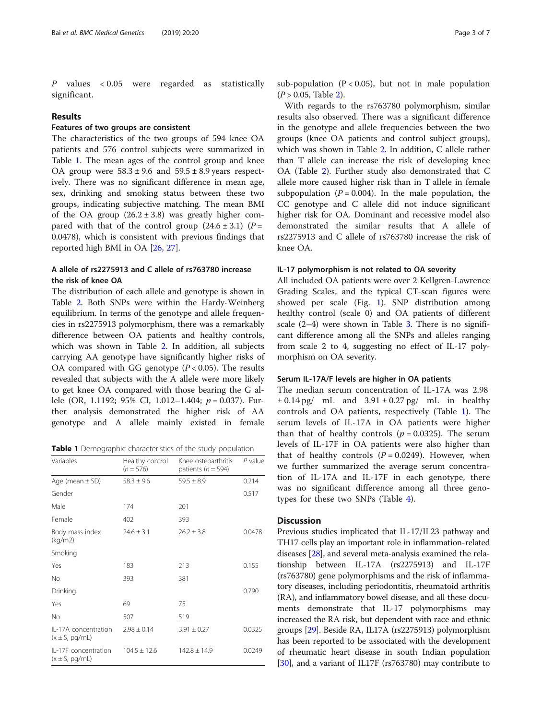P values < 0.05 were regarded as statistically significant.

# Results

# Features of two groups are consistent

The characteristics of the two groups of 594 knee OA patients and 576 control subjects were summarized in Table 1. The mean ages of the control group and knee OA group were  $58.3 \pm 9.6$  and  $59.5 \pm 8.9$  years respectively. There was no significant difference in mean age, sex, drinking and smoking status between these two groups, indicating subjective matching. The mean BMI of the OA group  $(26.2 \pm 3.8)$  was greatly higher compared with that of the control group  $(24.6 \pm 3.1)$  (P = 0.0478), which is consistent with previous findings that reported high BMI in OA [\[26,](#page-6-0) [27\]](#page-6-0).

# A allele of rs2275913 and C allele of rs763780 increase the risk of knee OA

The distribution of each allele and genotype is shown in Table [2.](#page-3-0) Both SNPs were within the Hardy-Weinberg equilibrium. In terms of the genotype and allele frequencies in rs2275913 polymorphism, there was a remarkably difference between OA patients and healthy controls, which was shown in Table [2](#page-3-0). In addition, all subjects carrying AA genotype have significantly higher risks of OA compared with GG genotype  $(P < 0.05)$ . The results revealed that subjects with the A allele were more likely to get knee OA compared with those bearing the G allele (OR, 1.1192; 95% CI, 1.012–1.404;  $p = 0.037$ ). Further analysis demonstrated the higher risk of AA genotype and A allele mainly existed in female

Table 1 Demographic characteristics of the study population

| Variables                                         | Healthy control<br>$(n = 576)$ | Knee osteoarthritis<br>patients ( $n = 594$ ) | $P$ value |
|---------------------------------------------------|--------------------------------|-----------------------------------------------|-----------|
| Age (mean $\pm$ SD)                               | $58.3 \pm 9.6$                 | $59.5 \pm 8.9$                                | 0.214     |
| Gender                                            |                                |                                               | 0.517     |
| Male                                              | 174                            | 201                                           |           |
| Female                                            | 402                            | 393                                           |           |
| Body mass index<br>(kq/m2)                        | $24.6 \pm 3.1$                 | $26.2 \pm 3.8$                                | 0.0478    |
| Smoking                                           |                                |                                               |           |
| Yes                                               | 183                            | 213                                           | 0.155     |
| No                                                | 393                            | 381                                           |           |
| Drinking                                          |                                |                                               | 0.790     |
| Yes                                               | 69                             | 75                                            |           |
| No                                                | 507                            | 519                                           |           |
| II-17A concentration<br>$(x \pm S, \text{pg/mL})$ | $2.98 \pm 0.14$                | $3.91 \pm 0.27$                               | 0.0325    |
| IL-17F concentration<br>$(x \pm S, \text{pg/mL})$ | $104.5 \pm 12.6$               | $142.8 \pm 14.9$                              | 0.0249    |

sub-population ( $P < 0.05$ ), but not in male population  $(P > 0.05,$  Table [2\)](#page-3-0).

With regards to the rs763780 polymorphism, similar results also observed. There was a significant difference in the genotype and allele frequencies between the two groups (knee OA patients and control subject groups), which was shown in Table [2.](#page-3-0) In addition, C allele rather than T allele can increase the risk of developing knee OA (Table [2\)](#page-3-0). Further study also demonstrated that C allele more caused higher risk than in T allele in female subpopulation ( $P = 0.004$ ). In the male population, the CC genotype and C allele did not induce significant higher risk for OA. Dominant and recessive model also demonstrated the similar results that A allele of rs2275913 and C allele of rs763780 increase the risk of knee OA.

# IL-17 polymorphism is not related to OA severity

All included OA patients were over 2 Kellgren-Lawrence Grading Scales, and the typical CT-scan figures were showed per scale (Fig. [1\)](#page-4-0). SNP distribution among healthy control (scale 0) and OA patients of different scale  $(2-4)$  were shown in Table [3](#page-4-0). There is no significant difference among all the SNPs and alleles ranging from scale 2 to 4, suggesting no effect of IL-17 polymorphism on OA severity.

# Serum IL-17A/F levels are higher in OA patients

The median serum concentration of IL-17A was 2.98  $\pm 0.14$  pg/ mL and  $3.91 \pm 0.27$  pg/ mL in healthy controls and OA patients, respectively (Table 1). The serum levels of IL-17A in OA patients were higher than that of healthy controls ( $p = 0.0325$ ). The serum levels of IL-17F in OA patients were also higher than that of healthy controls  $(P = 0.0249)$ . However, when we further summarized the average serum concentration of IL-17A and IL-17F in each genotype, there was no significant difference among all three genotypes for these two SNPs (Table [4](#page-4-0)).

# **Discussion**

Previous studies implicated that IL-17/IL23 pathway and TH17 cells play an important role in inflammation-related diseases [\[28\]](#page-6-0), and several meta-analysis examined the relationship between IL-17A (rs2275913) and IL-17F (rs763780) gene polymorphisms and the risk of inflammatory diseases, including periodontitis, rheumatoid arthritis (RA), and inflammatory bowel disease, and all these documents demonstrate that IL-17 polymorphisms may increased the RA risk, but dependent with race and ethnic groups [[29\]](#page-6-0). Beside RA, IL17A (rs2275913) polymorphism has been reported to be associated with the development of rheumatic heart disease in south Indian population [[30](#page-6-0)], and a variant of IL17F (rs763780) may contribute to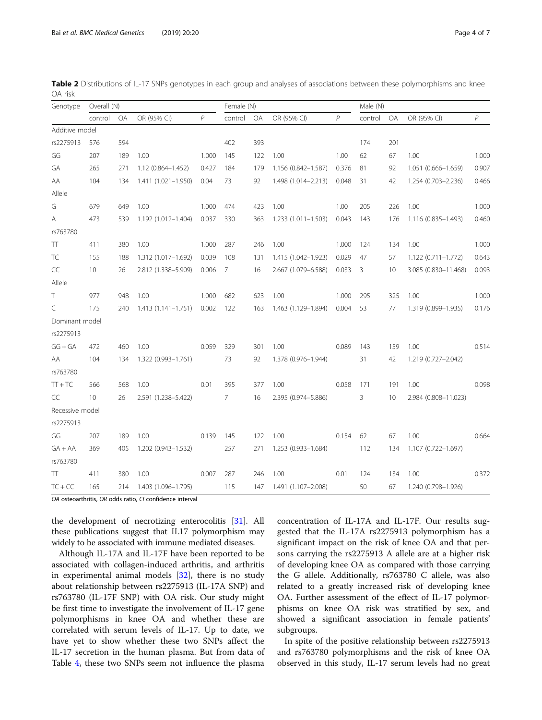OA osteoarthritis, OR odds ratio, CI confidence interval

the development of necrotizing enterocolitis [[31](#page-6-0)]. All these publications suggest that IL17 polymorphism may widely to be associated with immune mediated diseases.

Although IL-17A and IL-17F have been reported to be associated with collagen-induced arthritis, and arthritis in experimental animal models [[32\]](#page-6-0), there is no study about relationship between rs2275913 (IL-17A SNP) and rs763780 (IL-17F SNP) with OA risk. Our study might be first time to investigate the involvement of IL-17 gene polymorphisms in knee OA and whether these are correlated with serum levels of IL-17. Up to date, we have yet to show whether these two SNPs affect the IL-17 secretion in the human plasma. But from data of Table [4](#page-4-0), these two SNPs seem not influence the plasma

concentration of IL-17A and IL-17F. Our results suggested that the IL-17A rs2275913 polymorphism has a significant impact on the risk of knee OA and that persons carrying the rs2275913 A allele are at a higher risk of developing knee OA as compared with those carrying the G allele. Additionally, rs763780 C allele, was also related to a greatly increased risk of developing knee OA. Further assessment of the effect of IL-17 polymorphisms on knee OA risk was stratified by sex, and showed a significant association in female patients' subgroups.

In spite of the positive relationship between rs2275913 and rs763780 polymorphisms and the risk of knee OA observed in this study, IL-17 serum levels had no great

<span id="page-3-0"></span>Table 2 Distributions of IL-17 SNPs genotypes in each group and analyses of associations between these polymorphisms and knee OA risk

|                  | Genotype Overall (N) |     |                               |                | Female (N)     |     |                           | Male (N) |              |     |                        |                |
|------------------|----------------------|-----|-------------------------------|----------------|----------------|-----|---------------------------|----------|--------------|-----|------------------------|----------------|
|                  | control OA           |     | OR (95% CI)                   | $\overline{P}$ | control OA     |     | OR (95% CI)               | P        | control      | OA  | OR (95% CI)            | $\overline{P}$ |
| Additive model   |                      |     |                               |                |                |     |                           |          |              |     |                        |                |
| rs2275913        | 576                  | 594 |                               |                | 402            | 393 |                           |          | 174          | 201 |                        |                |
| GG               | 207                  | 189 | 1.00                          | 1.000          | 145            | 122 | 1.00                      | 1.00     | 62           | 67  | 1.00                   | 1.000          |
| GA               | 265                  | 271 | 1.12 (0.864-1.452)            | 0.427          | 184            | 179 | 1.156 (0.842-1.587)       | 0.376    | 81           | 92  | 1.051 (0.666-1.659)    | 0.907          |
| AA               | 104                  | 134 | 1.411 (1.021-1.950)           | 0.04           | 73             | 92  | 1.498 (1.014-2.213)       | 0.048    | 31           | 42  | 1.254 (0.703-2.236)    | 0.466          |
| Allele           |                      |     |                               |                |                |     |                           |          |              |     |                        |                |
| G                | 679                  | 649 | 1.00                          | 1.000          | 474            | 423 | 1.00                      | 1.00     | 205          | 226 | 1.00                   | 1.000          |
| A                | 473                  | 539 | 1.192 (1.012-1.404)           | 0.037          | 330            |     | 363 1.233 (1.011-1.503)   | 0.043    | 143          | 176 | 1.116 (0.835-1.493)    | 0.460          |
| rs763780         |                      |     |                               |                |                |     |                           |          |              |     |                        |                |
| $\top\top$       | 411                  | 380 | 1.00                          | 1.000          | 287            | 246 | 1.00                      | 1.000    | 124          | 134 | 1.00                   | 1.000          |
| TC               | 155                  | 188 | 1.312 (1.017-1.692)           | 0.039          | 108            | 131 | 1.415 (1.042-1.923)       | 0.029    | 47           | 57  | $1.122(0.711 - 1.772)$ | 0.643          |
| $\subset\subset$ | 10                   | 26  | 2.812 (1.338-5.909)           | 0.006          | $\overline{7}$ | 16  | 2.667 (1.079-6.588)       | 0.033    | 3            | 10  | 3.085 (0.830-11.468)   | 0.093          |
| Allele           |                      |     |                               |                |                |     |                           |          |              |     |                        |                |
| T                | 977                  | 948 | 1.00                          | 1.000          | 682            | 623 | 1.00                      | 1.000    | 295          | 325 | 1.00                   | 1.000          |
| $\subset$        | 175                  | 240 | 1.413 (1.141-1.751) 0.002 122 |                |                | 163 | 1.463 (1.129-1.894) 0.004 |          | 53           | 77  | 1.319 (0.899-1.935)    | 0.176          |
| Dominant model   |                      |     |                               |                |                |     |                           |          |              |     |                        |                |
| rs2275913        |                      |     |                               |                |                |     |                           |          |              |     |                        |                |
| $GG + GA$        | 472                  | 460 | 1.00                          | 0.059          | 329            | 301 | 1.00                      | 0.089    | 143          | 159 | 1.00                   | 0.514          |
| AA               | 104                  | 134 | 1.322 (0.993-1.761)           |                | 73             | 92  | 1.378 (0.976-1.944)       |          | 31           | 42  | 1.219 (0.727-2.042)    |                |
| rs763780         |                      |     |                               |                |                |     |                           |          |              |     |                        |                |
| $TT + TC$        | 566                  | 568 | 1.00                          | 0.01           | 395            | 377 | 1.00                      | 0.058    | 171          | 191 | 1.00                   | 0.098          |
| CC               | 10 <sup>°</sup>      | 26  | 2.591 (1.238-5.422)           |                | $7^{\circ}$    | 16  | 2.395 (0.974-5.886)       |          | $\mathbf{3}$ | 10  | 2.984 (0.808-11.023)   |                |
| Recessive model  |                      |     |                               |                |                |     |                           |          |              |     |                        |                |
| rs2275913        |                      |     |                               |                |                |     |                           |          |              |     |                        |                |
| GG               | 207                  | 189 | 1.00                          | 0.139          | 145            | 122 | 0.154<br>1.00             |          | 62           | 67  | 1.00                   | 0.664          |
| $GA + AA$        | 369                  | 405 | 1.202 (0.943-1.532)           |                | 257            |     | 271 1.253 (0.933-1.684)   |          | 112          | 134 | 1.107 (0.722-1.697)    |                |
| rs763780         |                      |     |                               |                |                |     |                           |          |              |     |                        |                |
| TT.              | 411                  | 380 | 1.00                          | 0.007          | 287            | 246 | 1.00                      | 0.01     | 124          | 134 | 1.00                   | 0.372          |
| $TC + CC$        | 165                  |     | 214 1.403 (1.096-1.795)       |                | 115            | 147 | 1.491 (1.107-2.008)       |          | 50           | 67  | 1.240 (0.798-1.926)    |                |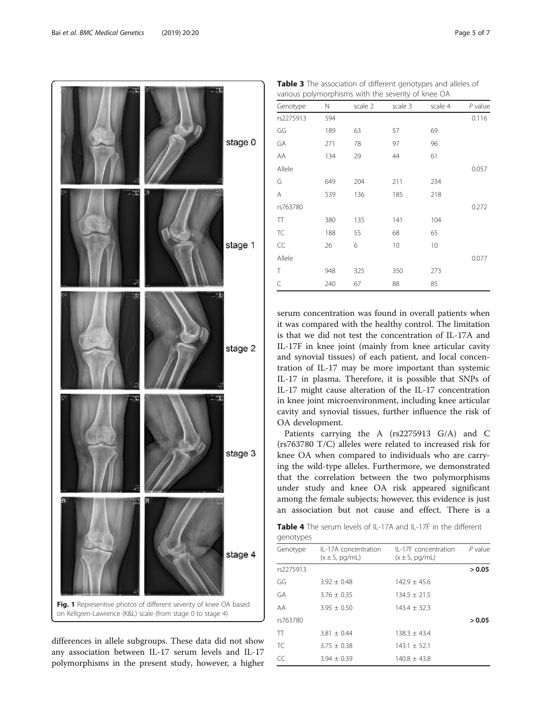

<span id="page-4-0"></span>

differences in allele subgroups. These data did not show any association between IL-17 serum levels and IL-17 polymorphisms in the present study, however, a higher

Table 3 The association of different genotypes and alleles of various polymorphisms with the severity of knee OA

| Genotype  | Ν   | scale 2 | scale 3 | scale 4 | $P$ value |
|-----------|-----|---------|---------|---------|-----------|
| rs2275913 | 594 |         |         |         | 0.116     |
| GG        | 189 | 63      | 57      | 69      |           |
| GA        | 271 | 78      | 97      | 96      |           |
| AA        | 134 | 29      | 44      | 61      |           |
| Allele    |     |         |         |         | 0.057     |
| G         | 649 | 204     | 211     | 234     |           |
| A         | 539 | 136     | 185     | 218     |           |
| rs763780  |     |         |         |         | 0.272     |
| TT        | 380 | 135     | 141     | 104     |           |
| TC        | 188 | 55      | 68      | 65      |           |
| CC        | 26  | 6       | 10      | 10      |           |
| Allele    |     |         |         |         | 0.077     |
| T         | 948 | 325     | 350     | 273     |           |
| C         | 240 | 67      | 88      | 85      |           |

serum concentration was found in overall patients when it was compared with the healthy control. The limitation is that we did not test the concentration of IL-17A and IL-17F in knee joint (mainly from knee articular cavity and synovial tissues) of each patient, and local concentration of IL-17 may be more important than systemic IL-17 in plasma. Therefore, it is possible that SNPs of IL-17 might cause alteration of the IL-17 concentration in knee joint microenvironment, including knee articular cavity and synovial tissues, further influence the risk of OA development.

Patients carrying the A (rs2275913 G/A) and C (rs763780 T/C) alleles were related to increased risk for knee OA when compared to individuals who are carrying the wild-type alleles. Furthermore, we demonstrated that the correlation between the two polymorphisms under study and knee OA risk appeared significant among the female subjects; however, this evidence is just an association but not cause and effect. There is a

Table 4 The serum levels of IL-17A and IL-17F in the different genotypes

| genotypes |                                            |                                            |           |  |  |  |  |
|-----------|--------------------------------------------|--------------------------------------------|-----------|--|--|--|--|
| Genotype  | II-17A concentration<br>$(x \pm S, pq/mL)$ | II-17F concentration<br>$(x \pm S, pq/mL)$ | $P$ value |  |  |  |  |
| rs2275913 |                                            |                                            | > 0.05    |  |  |  |  |
| GG        | $3.92 + 0.48$                              | $142.9 + 45.6$                             |           |  |  |  |  |
| GA        | $3.76 + 0.35$                              | $134.5 + 21.5$                             |           |  |  |  |  |
| AA        | $3.95 \pm 0.50$                            | $143.4 \pm 32.3$                           |           |  |  |  |  |
| rs763780  |                                            |                                            | > 0.05    |  |  |  |  |
| TT        | $3.81 + 0.44$                              | $138.3 + 43.4$                             |           |  |  |  |  |
| TC        | $3.75 \pm 0.38$                            | $143.1 \pm 52.1$                           |           |  |  |  |  |
| CC        | $3.94 + 0.39$                              | $140.8 \pm 43.8$                           |           |  |  |  |  |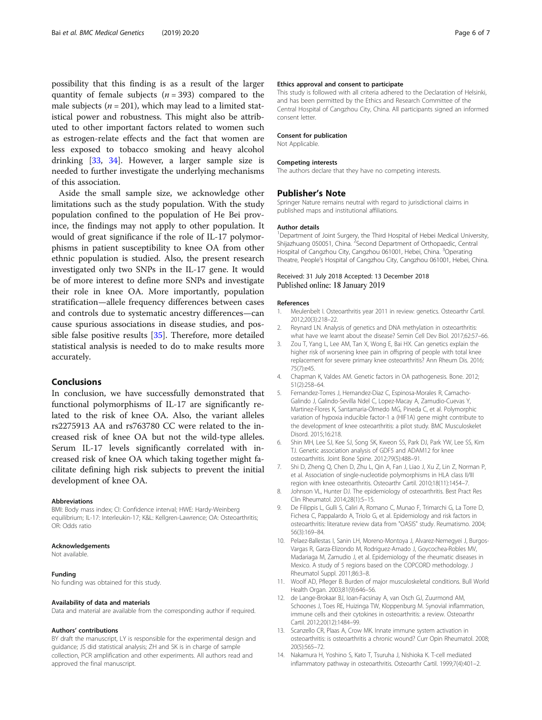<span id="page-5-0"></span>possibility that this finding is as a result of the larger quantity of female subjects ( $n = 393$ ) compared to the male subjects ( $n = 201$ ), which may lead to a limited statistical power and robustness. This might also be attributed to other important factors related to women such as estrogen-relate effects and the fact that women are less exposed to tobacco smoking and heavy alcohol drinking [\[33,](#page-6-0) [34](#page-6-0)]. However, a larger sample size is needed to further investigate the underlying mechanisms of this association.

Aside the small sample size, we acknowledge other limitations such as the study population. With the study population confined to the population of He Bei province, the findings may not apply to other population. It would of great significance if the role of IL-17 polymorphisms in patient susceptibility to knee OA from other ethnic population is studied. Also, the present research investigated only two SNPs in the IL-17 gene. It would be of more interest to define more SNPs and investigate their role in knee OA. More importantly, population stratification—allele frequency differences between cases and controls due to systematic ancestry differences—can cause spurious associations in disease studies, and possible false positive results [[35\]](#page-6-0). Therefore, more detailed statistical analysis is needed to do to make results more accurately.

# Conclusions

In conclusion, we have successfully demonstrated that functional polymorphisms of IL-17 are significantly related to the risk of knee OA. Also, the variant alleles rs2275913 AA and rs763780 CC were related to the increased risk of knee OA but not the wild-type alleles. Serum IL-17 levels significantly correlated with increased risk of knee OA which taking together might facilitate defining high risk subjects to prevent the initial development of knee OA.

#### Abbreviations

BMI: Body mass index; CI: Confidence interval; HWE: Hardy-Weinberg equilibrium; IL-17: Interleukin-17; K&L: Kellgren-Lawrence; OA: Osteoarthritis; OR: Odds ratio

#### Acknowledgements

Not available.

#### Funding

No funding was obtained for this study.

#### Availability of data and materials

Data and material are available from the corresponding author if required.

## Authors' contributions

BY draft the manuscript, LY is responsible for the experimental design and guidance; JS did statistical analysis; ZH and SK is in charge of sample collection, PCR amplification and other experiments. All authors read and approved the final manuscript.

#### Ethics approval and consent to participate

This study is followed with all criteria adhered to the Declaration of Helsinki, and has been permitted by the Ethics and Research Committee of the Central Hospital of Cangzhou City, China. All participants signed an informed consent letter.

#### Consent for publication

Not Applicable.

#### Competing interests

The authors declare that they have no competing interests.

#### Publisher's Note

Springer Nature remains neutral with regard to jurisdictional claims in published maps and institutional affiliations.

#### Author details

<sup>1</sup>Department of Joint Surgery, the Third Hospital of Hebei Medical University Shijazhuang 050051, China. <sup>2</sup> Second Department of Orthopaedic, Central Hospital of Cangzhou City, Cangzhou 061001, Hebei, China. <sup>3</sup>Operating Theatre, People's Hospital of Cangzhou City, Cangzhou 061001, Hebei, China.

# Received: 31 July 2018 Accepted: 13 December 2018 Published online: 18 January 2019

#### References

- 1. Meulenbelt I. Osteoarthritis year 2011 in review: genetics. Osteoarthr Cartil. 2012;20(3):218–22.
- 2. Reynard LN. Analysis of genetics and DNA methylation in osteoarthritis: what have we learnt about the disease? Semin Cell Dev Biol. 2017;62:57–66.
- 3. Zou T, Yang L, Lee AM, Tan X, Wong E, Bai HX. Can genetics explain the higher risk of worsening knee pain in offspring of people with total knee replacement for severe primary knee osteoarthritis? Ann Rheum Dis. 2016; 75(7):e45.
- 4. Chapman K, Valdes AM. Genetic factors in OA pathogenesis. Bone. 2012; 51(2):258–64.
- 5. Fernandez-Torres J, Hernandez-Diaz C, Espinosa-Morales R, Camacho-Galindo J, Galindo-Sevilla Ndel C, Lopez-Macay A, Zamudio-Cuevas Y, Martinez-Flores K, Santamaria-Olmedo MG, Pineda C, et al. Polymorphic variation of hypoxia inducible factor-1 a (HIF1A) gene might contribute to the development of knee osteoarthritis: a pilot study. BMC Musculoskelet Disord. 2015;16:218.
- 6. Shin MH, Lee SJ, Kee SJ, Song SK, Kweon SS, Park DJ, Park YW, Lee SS, Kim TJ. Genetic association analysis of GDF5 and ADAM12 for knee osteoarthritis. Joint Bone Spine. 2012;79(5):488–91.
- 7. Shi D, Zheng Q, Chen D, Zhu L, Qin A, Fan J, Liao J, Xu Z, Lin Z, Norman P, et al. Association of single-nucleotide polymorphisms in HLA class II/III region with knee osteoarthritis. Osteoarthr Cartil. 2010;18(11):1454–7.
- 8. Johnson VL, Hunter DJ. The epidemiology of osteoarthritis. Best Pract Res Clin Rheumatol. 2014;28(1):5–15.
- 9. De Filippis L, Gulli S, Caliri A, Romano C, Munao F, Trimarchi G, La Torre D, Fichera C, Pappalardo A, Triolo G, et al. Epidemiology and risk factors in osteoarthritis: literature review data from "OASIS" study. Reumatismo. 2004; 56(3):169–84.
- 10. Pelaez-Ballestas I, Sanin LH, Moreno-Montoya J, Alvarez-Nemegyei J, Burgos-Vargas R, Garza-Elizondo M, Rodriguez-Amado J, Goycochea-Robles MV, Madariaga M, Zamudio J, et al. Epidemiology of the rheumatic diseases in Mexico. A study of 5 regions based on the COPCORD methodology. J Rheumatol Suppl. 2011;86:3–8.
- 11. Woolf AD, Pfleger B. Burden of major musculoskeletal conditions. Bull World Health Organ. 2003;81(9):646–56.
- 12. de Lange-Brokaar BJ, Ioan-Facsinay A, van Osch GJ, Zuurmond AM, Schoones J, Toes RE, Huizinga TW, Kloppenburg M. Synovial inflammation, immune cells and their cytokines in osteoarthritis: a review. Osteoarthr Cartil. 2012;20(12):1484–99.
- 13. Scanzello CR, Plaas A, Crow MK. Innate immune system activation in osteoarthritis: is osteoarthritis a chronic wound? Curr Opin Rheumatol. 2008; 20(5):565–72.
- 14. Nakamura H, Yoshino S, Kato T, Tsuruha J, Nishioka K. T-cell mediated inflammatory pathway in osteoarthritis. Osteoarthr Cartil. 1999;7(4):401–2.